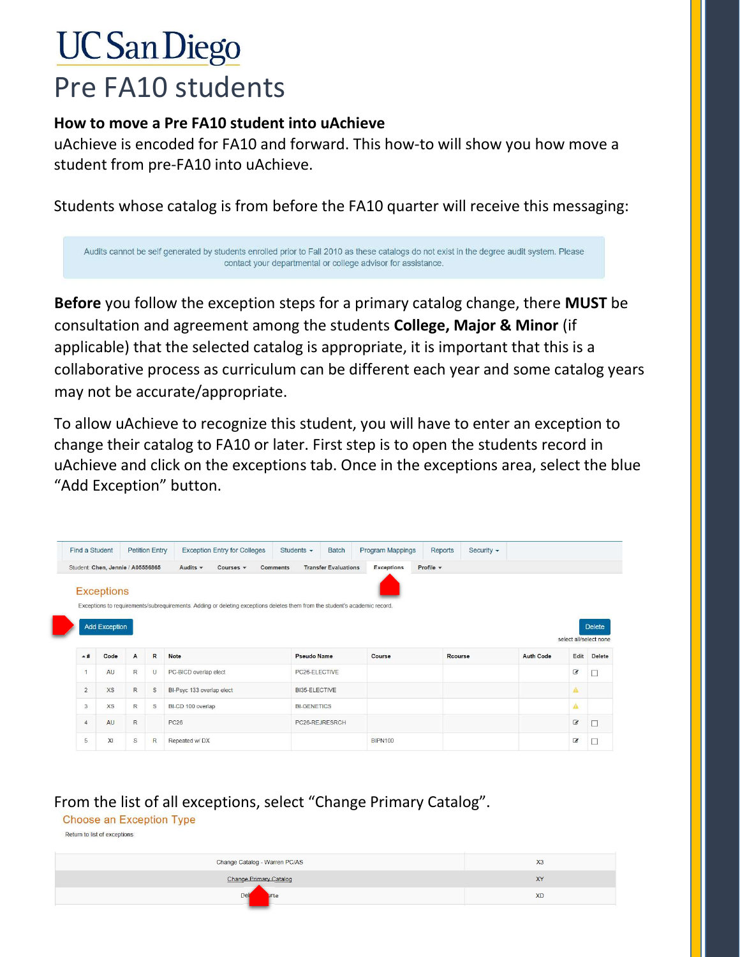## **UC San Diego** Pre FA10 students

## How to move a Pre FA10 student into uAchieve

uAchieve is encoded for FA10 and forward. This how-to will show you how move a student from pre-FA10 into uAchieve.

Students whose catalog is from before the FA10 quarter will receive this messaging:

Audits cannot be self generated by students enrolled prior to Fall 2010 as these catalogs do not exist in the degree audit system. Please contact your departmental or college advisor for assistance.

Before you follow the exception steps for a primary catalog change, there MUST be consultation and agreement among the students College, Major & Minor (if applicable) that the selected catalog is appropriate, it is important that this is a collaborative process as curriculum can be different each year and some catalog years may not be accurate/appropriate.

To allow uAchieve to recognize this student, you will have to enter an exception to change their catalog to FA10 or later. First step is to open the students record in uAchieve and click on the exceptions tab. Once in the exceptions area, select the blue "Add Exception" button.

|                                   | Find a Student       |             | <b>Petition Entry</b>                         | <b>Exception Entry for Colleges</b>                                                                                        | Students $\sim$             | <b>Batch</b>   | <b>Program Mappings</b> | Reports | Security $\sim$ |                  |                        |               |
|-----------------------------------|----------------------|-------------|-----------------------------------------------|----------------------------------------------------------------------------------------------------------------------------|-----------------------------|----------------|-------------------------|---------|-----------------|------------------|------------------------|---------------|
| Student: Chen, Jennie / A05556865 |                      |             | Audits $\sim$<br>Courses $\blacktriangledown$ | <b>Comments</b>                                                                                                            | <b>Transfer Evaluations</b> |                | Profile -               |         |                 |                  |                        |               |
|                                   | <b>Exceptions</b>    |             |                                               |                                                                                                                            |                             |                |                         |         |                 |                  |                        |               |
|                                   |                      |             |                                               | Exceptions to requirements/subrequirements. Adding or deleting exceptions deletes them from the student's academic record. |                             |                |                         |         |                 |                  |                        |               |
|                                   |                      |             |                                               |                                                                                                                            |                             |                |                         |         |                 |                  |                        |               |
|                                   | <b>Add Exception</b> |             |                                               |                                                                                                                            |                             |                |                         |         |                 |                  |                        | <b>Delete</b> |
|                                   |                      |             |                                               |                                                                                                                            |                             |                |                         |         |                 |                  |                        |               |
|                                   |                      |             |                                               |                                                                                                                            |                             |                |                         |         |                 |                  | select all/select none |               |
| $*$ #                             | Code                 | A           | $\mathbb{R}$                                  | <b>Note</b>                                                                                                                | <b>Pseudo Name</b>          |                | Course                  | Rcourse |                 | <b>Auth Code</b> | Edit                   |               |
| $\overline{1}$                    | AU                   | $\mathsf R$ | $\cup$                                        | PC-BICD overlap elect                                                                                                      | PC26-ELECTIVE               |                |                         |         |                 |                  | $\boxed{\mathcal{L}}$  | □             |
| $\overline{2}$                    | <b>XS</b>            | R           | $\mathbb S$                                   | BI-Psyc 133 overlap elect                                                                                                  | BI35-ELECTIVE               |                |                         |         |                 |                  | Α                      |               |
| 3                                 | XS                   | R           | $\mathbb S$                                   | BI-CD 100 overlap                                                                                                          | <b>BI-GENETICS</b>          |                |                         |         |                 |                  | $\mathbf{A}$           |               |
| $\overline{4}$                    | AU                   | $\mathsf R$ |                                               | <b>PC26</b>                                                                                                                |                             | PC26-REJRESRCH |                         |         |                 |                  | $\mathcal G$           | Delete<br>□   |

## From the list of all exceptions, select "Change Primary Catalog".

**Choose an Exception Type** 

Return to list of exceptions

| Change Catalog - Warren PC/AS | X <sub>3</sub> |
|-------------------------------|----------------|
| <b>Change Primary Catalog</b> | XY             |
| Del<br>urse                   | <b>XD</b>      |
|                               |                |